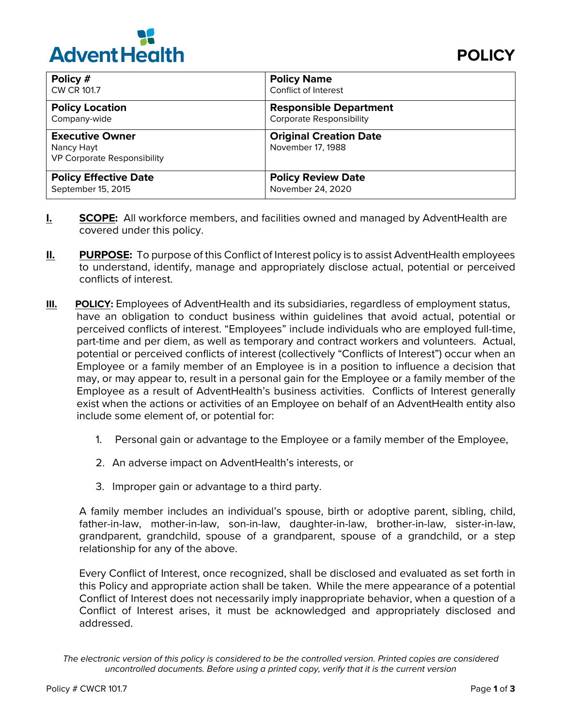

| Policy #                                                                   | <b>Policy Name</b>                                 |
|----------------------------------------------------------------------------|----------------------------------------------------|
| CW CR 101.7                                                                | Conflict of Interest                               |
| <b>Policy Location</b>                                                     | <b>Responsible Department</b>                      |
| Company-wide                                                               | <b>Corporate Responsibility</b>                    |
| <b>Executive Owner</b><br>Nancy Hayt<br><b>VP Corporate Responsibility</b> | <b>Original Creation Date</b><br>November 17, 1988 |
| <b>Policy Effective Date</b>                                               | <b>Policy Review Date</b>                          |
| September 15, 2015                                                         | November 24, 2020                                  |

- **I. SCOPE:** All workforce members, and facilities owned and managed by AdventHealth are covered under this policy.
- **II. PURPOSE:** To purpose of this Conflict of Interest policy is to assist AdventHealth employees to understand, identify, manage and appropriately disclose actual, potential or perceived conflicts of interest.
- **III. POLICY:** Employees of AdventHealth and its subsidiaries, regardless of employment status, have an obligation to conduct business within guidelines that avoid actual, potential or perceived conflicts of interest. "Employees" include individuals who are employed full-time, part-time and per diem, as well as temporary and contract workers and volunteers. Actual, potential or perceived conflicts of interest (collectively "Conflicts of Interest") occur when an Employee or a family member of an Employee is in a position to influence a decision that may, or may appear to, result in a personal gain for the Employee or a family member of the Employee as a result of AdventHealth's business activities. Conflicts of Interest generally exist when the actions or activities of an Employee on behalf of an AdventHealth entity also include some element of, or potential for:
	- 1. Personal gain or advantage to the Employee or a family member of the Employee,
	- 2. An adverse impact on AdventHealth's interests, or
	- 3. Improper gain or advantage to a third party.

A family member includes an individual's spouse, birth or adoptive parent, sibling, child, father-in-law, mother-in-law, son-in-law, daughter-in-law, brother-in-law, sister-in-law, grandparent, grandchild, spouse of a grandparent, spouse of a grandchild, or a step relationship for any of the above.

Every Conflict of Interest, once recognized, shall be disclosed and evaluated as set forth in this Policy and appropriate action shall be taken. While the mere appearance of a potential Conflict of Interest does not necessarily imply inappropriate behavior, when a question of a Conflict of Interest arises, it must be acknowledged and appropriately disclosed and addressed.

*The electronic version of this policy is considered to be the controlled version. Printed copies are considered uncontrolled documents. Before using a printed copy, verify that it is the current version*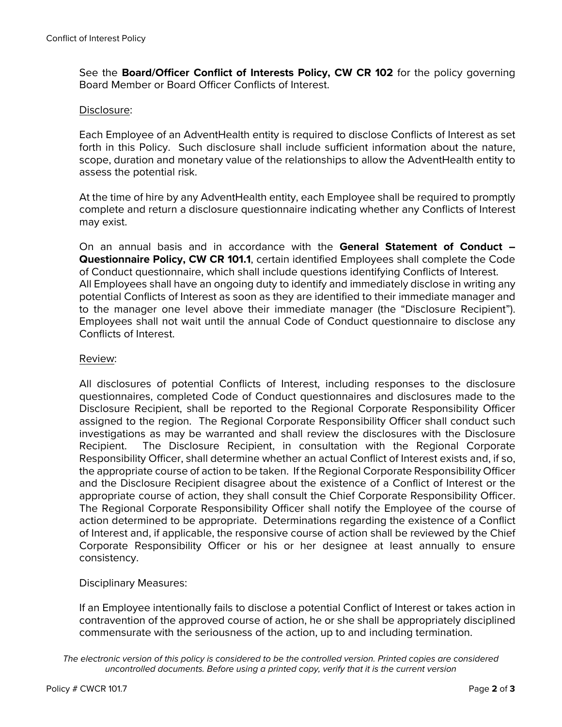See the **Board/Officer Conflict of Interests Policy, CW CR 102** for the policy governing Board Member or Board Officer Conflicts of Interest.

## Disclosure:

Each Employee of an AdventHealth entity is required to disclose Conflicts of Interest as set forth in this Policy. Such disclosure shall include sufficient information about the nature, scope, duration and monetary value of the relationships to allow the AdventHealth entity to assess the potential risk.

At the time of hire by any AdventHealth entity, each Employee shall be required to promptly complete and return a disclosure questionnaire indicating whether any Conflicts of Interest may exist.

On an annual basis and in accordance with the **General Statement of Conduct – Questionnaire Policy, CW CR 101.1**, certain identified Employees shall complete the Code of Conduct questionnaire, which shall include questions identifying Conflicts of Interest. All Employees shall have an ongoing duty to identify and immediately disclose in writing any potential Conflicts of Interest as soon as they are identified to their immediate manager and to the manager one level above their immediate manager (the "Disclosure Recipient"). Employees shall not wait until the annual Code of Conduct questionnaire to disclose any Conflicts of Interest.

## Review:

All disclosures of potential Conflicts of Interest, including responses to the disclosure questionnaires, completed Code of Conduct questionnaires and disclosures made to the Disclosure Recipient, shall be reported to the Regional Corporate Responsibility Officer assigned to the region. The Regional Corporate Responsibility Officer shall conduct such investigations as may be warranted and shall review the disclosures with the Disclosure Recipient. The Disclosure Recipient, in consultation with the Regional Corporate Responsibility Officer, shall determine whether an actual Conflict of Interest exists and, if so, the appropriate course of action to be taken. If the Regional Corporate Responsibility Officer and the Disclosure Recipient disagree about the existence of a Conflict of Interest or the appropriate course of action, they shall consult the Chief Corporate Responsibility Officer. The Regional Corporate Responsibility Officer shall notify the Employee of the course of action determined to be appropriate. Determinations regarding the existence of a Conflict of Interest and, if applicable, the responsive course of action shall be reviewed by the Chief Corporate Responsibility Officer or his or her designee at least annually to ensure consistency.

## Disciplinary Measures:

If an Employee intentionally fails to disclose a potential Conflict of Interest or takes action in contravention of the approved course of action, he or she shall be appropriately disciplined commensurate with the seriousness of the action, up to and including termination.

*The electronic version of this policy is considered to be the controlled version. Printed copies are considered uncontrolled documents. Before using a printed copy, verify that it is the current version*